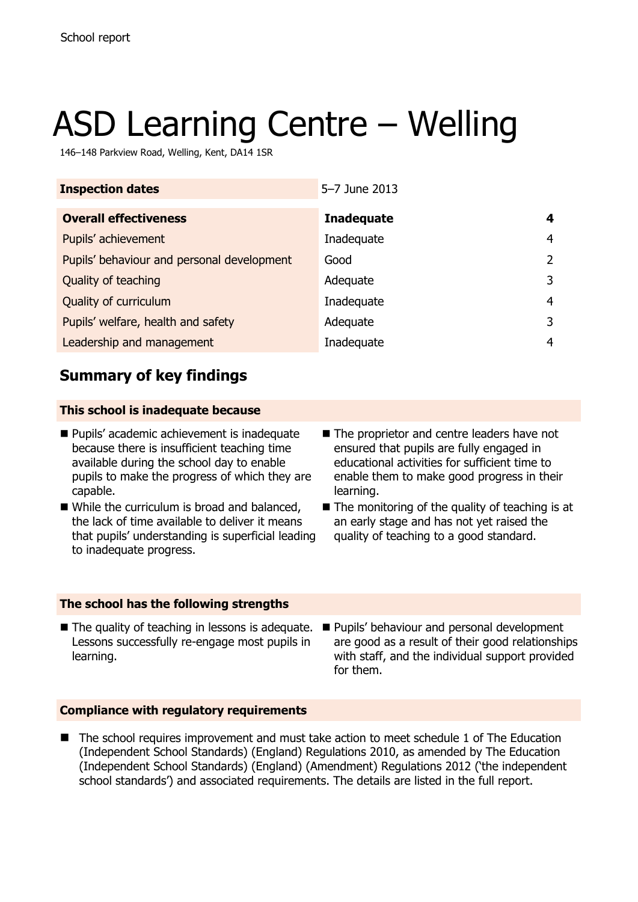# ASD Learning Centre – Welling

146–148 Parkview Road, Welling, Kent, DA14 1SR

| <b>Inspection dates</b><br>5-7 June 2013   |                   |   |
|--------------------------------------------|-------------------|---|
| <b>Overall effectiveness</b>               | <b>Inadequate</b> | 4 |
| Pupils' achievement                        | Inadequate        | 4 |
| Pupils' behaviour and personal development | Good              | 2 |
| Quality of teaching                        | Adequate          | 3 |
| Quality of curriculum                      | Inadequate        | 4 |
| Pupils' welfare, health and safety         | Adequate          | 3 |
| Leadership and management                  | Inadequate        | 4 |

# **Summary of key findings**

### **This school is inadequate because**

- **Pupils'** academic achievement is inadequate because there is insufficient teaching time available during the school day to enable pupils to make the progress of which they are capable.
- While the curriculum is broad and balanced. the lack of time available to deliver it means that pupils' understanding is superficial leading to inadequate progress.
- The proprietor and centre leaders have not ensured that pupils are fully engaged in educational activities for sufficient time to enable them to make good progress in their learning.
- $\blacksquare$  The monitoring of the quality of teaching is at an early stage and has not yet raised the quality of teaching to a good standard.

### **The school has the following strengths**

- $\blacksquare$  The quality of teaching in lessons is adequate. Lessons successfully re-engage most pupils in learning.
	- Pupils' behaviour and personal development are good as a result of their good relationships with staff, and the individual support provided for them.

### **Compliance with regulatory requirements**

■ The school requires improvement and must take action to meet schedule 1 of The Education (Independent School Standards) (England) Regulations 2010, as amended by The Education (Independent School Standards) (England) (Amendment) Regulations 2012 ('the independent school standards') and associated requirements. The details are listed in the full report.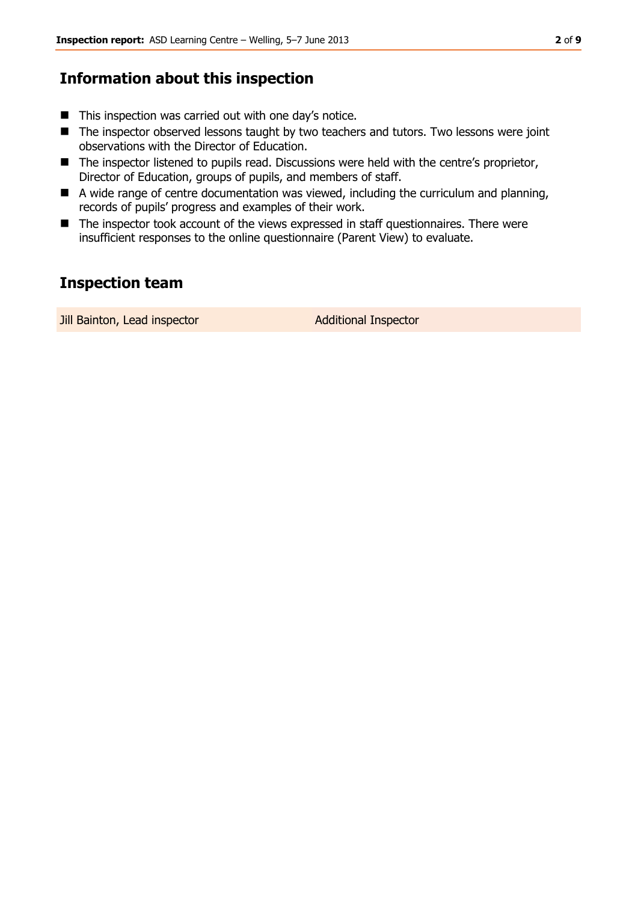# **Information about this inspection**

- $\blacksquare$  This inspection was carried out with one day's notice.
- The inspector observed lessons taught by two teachers and tutors. Two lessons were joint observations with the Director of Education.
- The inspector listened to pupils read. Discussions were held with the centre's proprietor, Director of Education, groups of pupils, and members of staff.
- A wide range of centre documentation was viewed, including the curriculum and planning, records of pupils' progress and examples of their work.
- The inspector took account of the views expressed in staff questionnaires. There were insufficient responses to the online questionnaire (Parent View) to evaluate.

# **Inspection team**

Jill Bainton, Lead inspector **Additional Inspector**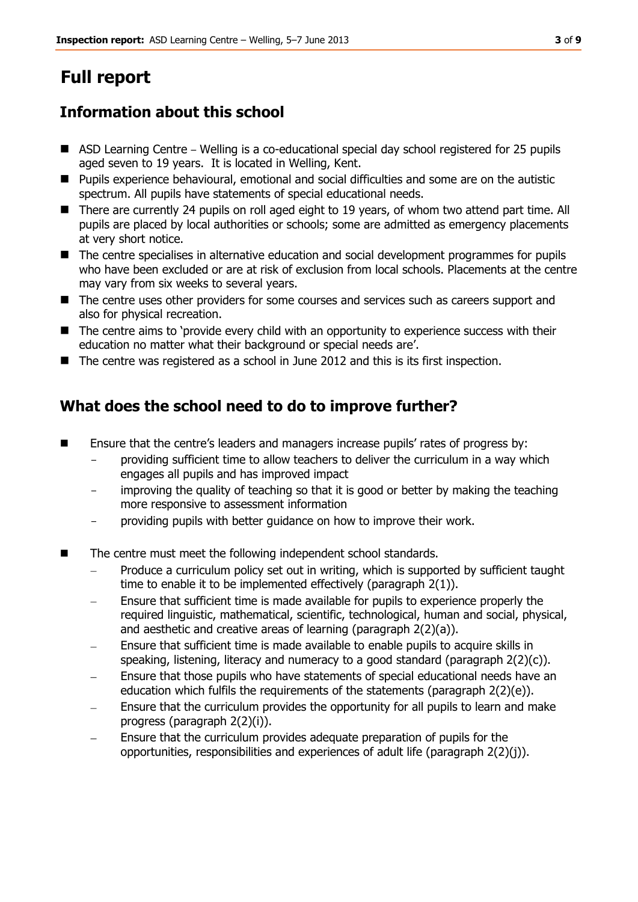# **Full report**

# **Information about this school**

- ASD Learning Centre Welling is a co-educational special day school registered for 25 pupils aged seven to 19 years. It is located in Welling, Kent.
- **Pupils experience behavioural, emotional and social difficulties and some are on the autistic** spectrum. All pupils have statements of special educational needs.
- There are currently 24 pupils on roll aged eight to 19 years, of whom two attend part time. All pupils are placed by local authorities or schools; some are admitted as emergency placements at very short notice.
- The centre specialises in alternative education and social development programmes for pupils who have been excluded or are at risk of exclusion from local schools. Placements at the centre may vary from six weeks to several years.
- The centre uses other providers for some courses and services such as careers support and also for physical recreation.
- The centre aims to 'provide every child with an opportunity to experience success with their education no matter what their background or special needs are'.
- The centre was registered as a school in June 2012 and this is its first inspection.

# **What does the school need to do to improve further?**

- **Ensure that the centre's leaders and managers increase pupils' rates of progress by:** 
	- providing sufficient time to allow teachers to deliver the curriculum in a way which engages all pupils and has improved impact
	- improving the quality of teaching so that it is good or better by making the teaching more responsive to assessment information
	- providing pupils with better guidance on how to improve their work.
- The centre must meet the following independent school standards.
	- Produce a curriculum policy set out in writing, which is supported by sufficient taught time to enable it to be implemented effectively (paragraph 2(1)).
	- Ensure that sufficient time is made available for pupils to experience properly the required linguistic, mathematical, scientific, technological, human and social, physical, and aesthetic and creative areas of learning (paragraph 2(2)(a)).
	- Ensure that sufficient time is made available to enable pupils to acquire skills in speaking, listening, literacy and numeracy to a good standard (paragraph 2(2)(c)).
	- Ensure that those pupils who have statements of special educational needs have an education which fulfils the requirements of the statements (paragraph 2(2)(e)).
	- Ensure that the curriculum provides the opportunity for all pupils to learn and make progress (paragraph 2(2)(i)).
	- Ensure that the curriculum provides adequate preparation of pupils for the opportunities, responsibilities and experiences of adult life (paragraph 2(2)(j)).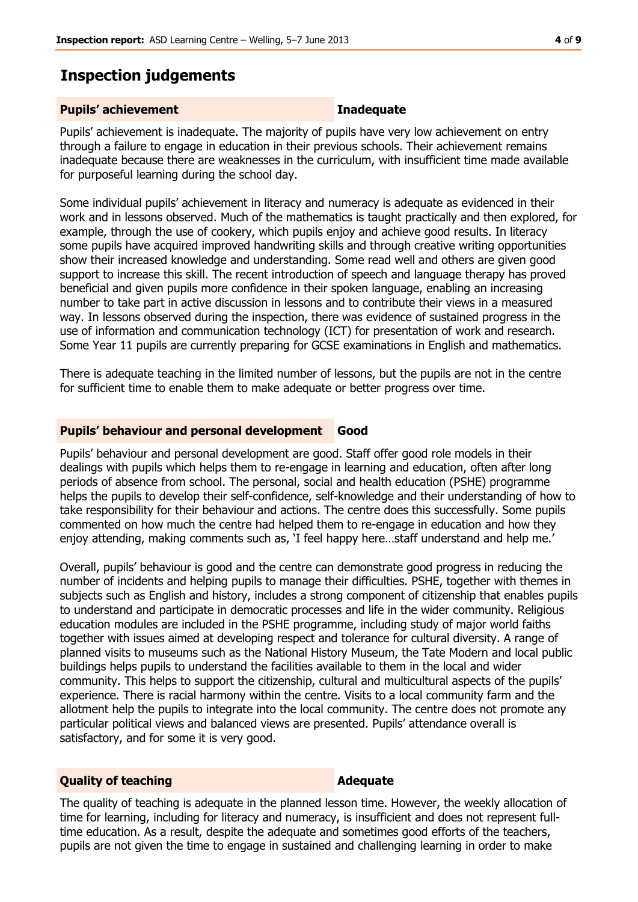### **Inspection judgements**

### **Pupils' achievement Inadequate**

Pupils' achievement is inadequate. The majority of pupils have very low achievement on entry through a failure to engage in education in their previous schools. Their achievement remains inadequate because there are weaknesses in the curriculum, with insufficient time made available for purposeful learning during the school day.

Some individual pupils' achievement in literacy and numeracy is adequate as evidenced in their work and in lessons observed. Much of the mathematics is taught practically and then explored, for example, through the use of cookery, which pupils enjoy and achieve good results. In literacy some pupils have acquired improved handwriting skills and through creative writing opportunities show their increased knowledge and understanding. Some read well and others are given good support to increase this skill. The recent introduction of speech and language therapy has proved beneficial and given pupils more confidence in their spoken language, enabling an increasing number to take part in active discussion in lessons and to contribute their views in a measured way. In lessons observed during the inspection, there was evidence of sustained progress in the use of information and communication technology (ICT) for presentation of work and research. Some Year 11 pupils are currently preparing for GCSE examinations in English and mathematics.

There is adequate teaching in the limited number of lessons, but the pupils are not in the centre for sufficient time to enable them to make adequate or better progress over time.

### **Pupils' behaviour and personal development Good**

Pupils' behaviour and personal development are good. Staff offer good role models in their dealings with pupils which helps them to re-engage in learning and education, often after long periods of absence from school. The personal, social and health education (PSHE) programme helps the pupils to develop their self-confidence, self-knowledge and their understanding of how to take responsibility for their behaviour and actions. The centre does this successfully. Some pupils commented on how much the centre had helped them to re-engage in education and how they enjoy attending, making comments such as, 'I feel happy here…staff understand and help me.'

Overall, pupils' behaviour is good and the centre can demonstrate good progress in reducing the number of incidents and helping pupils to manage their difficulties. PSHE, together with themes in subjects such as English and history, includes a strong component of citizenship that enables pupils to understand and participate in democratic processes and life in the wider community. Religious education modules are included in the PSHE programme, including study of major world faiths together with issues aimed at developing respect and tolerance for cultural diversity. A range of planned visits to museums such as the National History Museum, the Tate Modern and local public buildings helps pupils to understand the facilities available to them in the local and wider community. This helps to support the citizenship, cultural and multicultural aspects of the pupils' experience. There is racial harmony within the centre. Visits to a local community farm and the allotment help the pupils to integrate into the local community. The centre does not promote any particular political views and balanced views are presented. Pupils' attendance overall is satisfactory, and for some it is very good.

### **Quality of teaching Adequate**

The quality of teaching is adequate in the planned lesson time. However, the weekly allocation of time for learning, including for literacy and numeracy, is insufficient and does not represent fulltime education. As a result, despite the adequate and sometimes good efforts of the teachers, pupils are not given the time to engage in sustained and challenging learning in order to make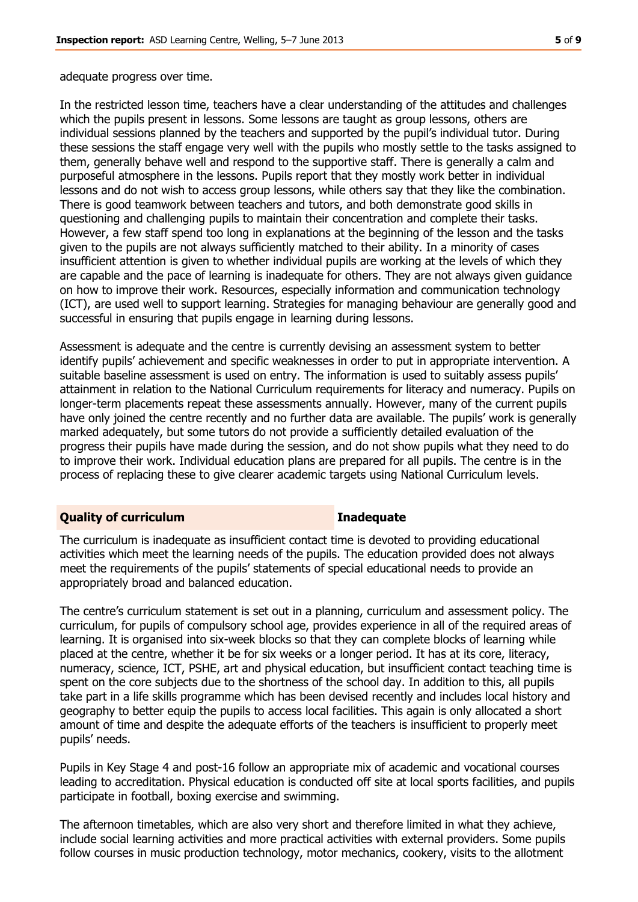adequate progress over time.

In the restricted lesson time, teachers have a clear understanding of the attitudes and challenges which the pupils present in lessons. Some lessons are taught as group lessons, others are individual sessions planned by the teachers and supported by the pupil's individual tutor. During these sessions the staff engage very well with the pupils who mostly settle to the tasks assigned to them, generally behave well and respond to the supportive staff. There is generally a calm and purposeful atmosphere in the lessons. Pupils report that they mostly work better in individual lessons and do not wish to access group lessons, while others say that they like the combination. There is good teamwork between teachers and tutors, and both demonstrate good skills in questioning and challenging pupils to maintain their concentration and complete their tasks. However, a few staff spend too long in explanations at the beginning of the lesson and the tasks given to the pupils are not always sufficiently matched to their ability. In a minority of cases insufficient attention is given to whether individual pupils are working at the levels of which they are capable and the pace of learning is inadequate for others. They are not always given guidance on how to improve their work. Resources, especially information and communication technology (ICT), are used well to support learning. Strategies for managing behaviour are generally good and successful in ensuring that pupils engage in learning during lessons.

Assessment is adequate and the centre is currently devising an assessment system to better identify pupils' achievement and specific weaknesses in order to put in appropriate intervention. A suitable baseline assessment is used on entry. The information is used to suitably assess pupils' attainment in relation to the National Curriculum requirements for literacy and numeracy. Pupils on longer-term placements repeat these assessments annually. However, many of the current pupils have only joined the centre recently and no further data are available. The pupils' work is generally marked adequately, but some tutors do not provide a sufficiently detailed evaluation of the progress their pupils have made during the session, and do not show pupils what they need to do to improve their work. Individual education plans are prepared for all pupils. The centre is in the process of replacing these to give clearer academic targets using National Curriculum levels.

### **Quality of curriculum Inadequate**

The curriculum is inadequate as insufficient contact time is devoted to providing educational activities which meet the learning needs of the pupils. The education provided does not always meet the requirements of the pupils' statements of special educational needs to provide an appropriately broad and balanced education.

The centre's curriculum statement is set out in a planning, curriculum and assessment policy. The curriculum, for pupils of compulsory school age, provides experience in all of the required areas of learning. It is organised into six-week blocks so that they can complete blocks of learning while placed at the centre, whether it be for six weeks or a longer period. It has at its core, literacy, numeracy, science, ICT, PSHE, art and physical education, but insufficient contact teaching time is spent on the core subjects due to the shortness of the school day. In addition to this, all pupils take part in a life skills programme which has been devised recently and includes local history and geography to better equip the pupils to access local facilities. This again is only allocated a short amount of time and despite the adequate efforts of the teachers is insufficient to properly meet pupils' needs.

Pupils in Key Stage 4 and post-16 follow an appropriate mix of academic and vocational courses leading to accreditation. Physical education is conducted off site at local sports facilities, and pupils participate in football, boxing exercise and swimming.

The afternoon timetables, which are also very short and therefore limited in what they achieve, include social learning activities and more practical activities with external providers. Some pupils follow courses in music production technology, motor mechanics, cookery, visits to the allotment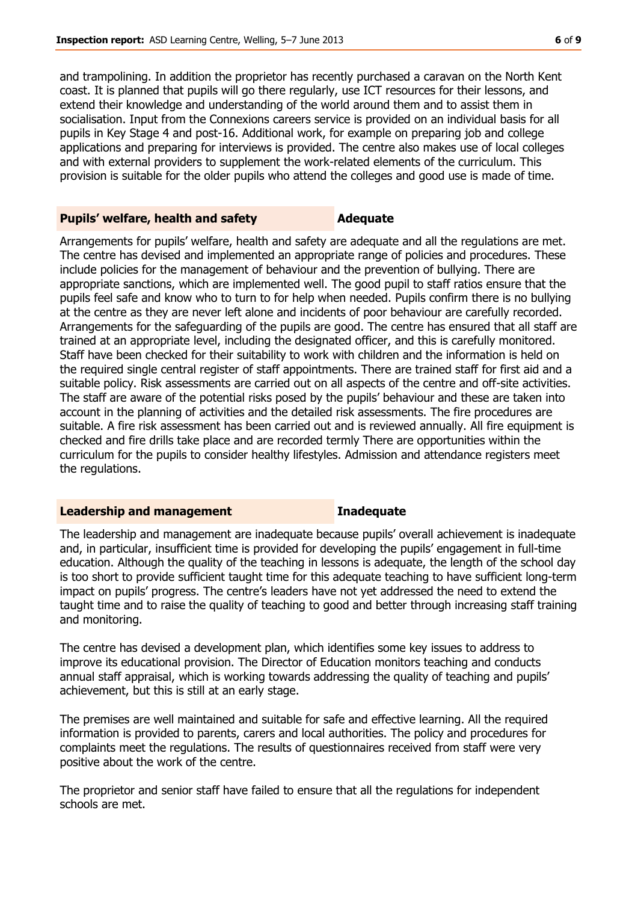and trampolining. In addition the proprietor has recently purchased a caravan on the North Kent coast. It is planned that pupils will go there regularly, use ICT resources for their lessons, and extend their knowledge and understanding of the world around them and to assist them in socialisation. Input from the Connexions careers service is provided on an individual basis for all pupils in Key Stage 4 and post-16. Additional work, for example on preparing job and college applications and preparing for interviews is provided. The centre also makes use of local colleges and with external providers to supplement the work-related elements of the curriculum. This provision is suitable for the older pupils who attend the colleges and good use is made of time.

### **Pupils' welfare, health and safety <b>Adequate**

Arrangements for pupils' welfare, health and safety are adequate and all the regulations are met. The centre has devised and implemented an appropriate range of policies and procedures. These include policies for the management of behaviour and the prevention of bullying. There are appropriate sanctions, which are implemented well. The good pupil to staff ratios ensure that the pupils feel safe and know who to turn to for help when needed. Pupils confirm there is no bullying at the centre as they are never left alone and incidents of poor behaviour are carefully recorded. Arrangements for the safeguarding of the pupils are good. The centre has ensured that all staff are trained at an appropriate level, including the designated officer, and this is carefully monitored. Staff have been checked for their suitability to work with children and the information is held on the required single central register of staff appointments. There are trained staff for first aid and a suitable policy. Risk assessments are carried out on all aspects of the centre and off-site activities. The staff are aware of the potential risks posed by the pupils' behaviour and these are taken into account in the planning of activities and the detailed risk assessments. The fire procedures are suitable. A fire risk assessment has been carried out and is reviewed annually. All fire equipment is checked and fire drills take place and are recorded termly There are opportunities within the curriculum for the pupils to consider healthy lifestyles. Admission and attendance registers meet the regulations.

### **Leadership and management Inadequate**

The leadership and management are inadequate because pupils' overall achievement is inadequate and, in particular, insufficient time is provided for developing the pupils' engagement in full-time education. Although the quality of the teaching in lessons is adequate, the length of the school day is too short to provide sufficient taught time for this adequate teaching to have sufficient long-term impact on pupils' progress. The centre's leaders have not yet addressed the need to extend the taught time and to raise the quality of teaching to good and better through increasing staff training and monitoring.

The centre has devised a development plan, which identifies some key issues to address to improve its educational provision. The Director of Education monitors teaching and conducts annual staff appraisal, which is working towards addressing the quality of teaching and pupils' achievement, but this is still at an early stage.

The premises are well maintained and suitable for safe and effective learning. All the required information is provided to parents, carers and local authorities. The policy and procedures for complaints meet the regulations. The results of questionnaires received from staff were very positive about the work of the centre.

The proprietor and senior staff have failed to ensure that all the regulations for independent schools are met.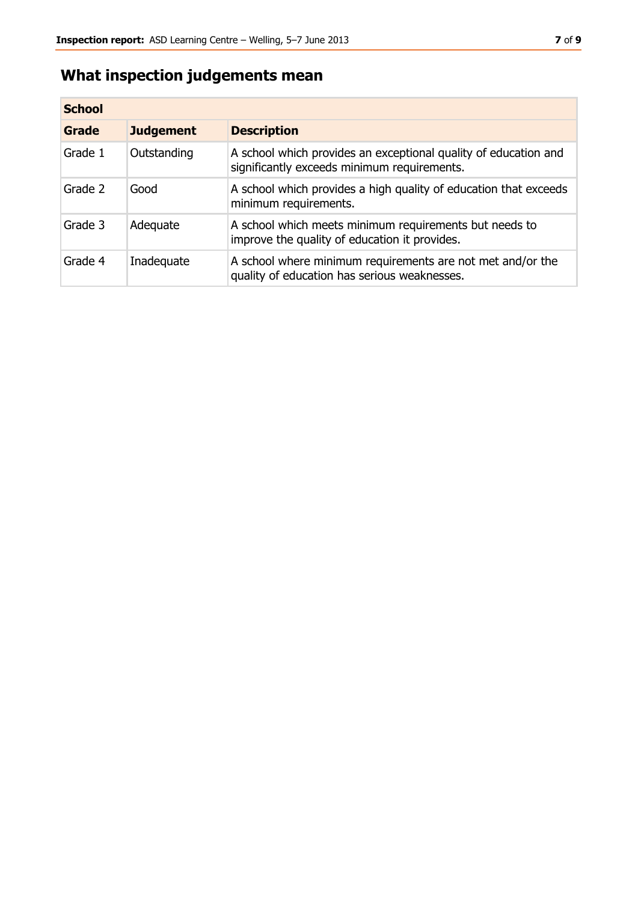# **What inspection judgements mean**

| <b>School</b> |                  |                                                                                                                |
|---------------|------------------|----------------------------------------------------------------------------------------------------------------|
| Grade         | <b>Judgement</b> | <b>Description</b>                                                                                             |
| Grade 1       | Outstanding      | A school which provides an exceptional quality of education and<br>significantly exceeds minimum requirements. |
| Grade 2       | Good             | A school which provides a high quality of education that exceeds<br>minimum requirements.                      |
| Grade 3       | Adequate         | A school which meets minimum requirements but needs to<br>improve the quality of education it provides.        |
| Grade 4       | Inadequate       | A school where minimum requirements are not met and/or the<br>quality of education has serious weaknesses.     |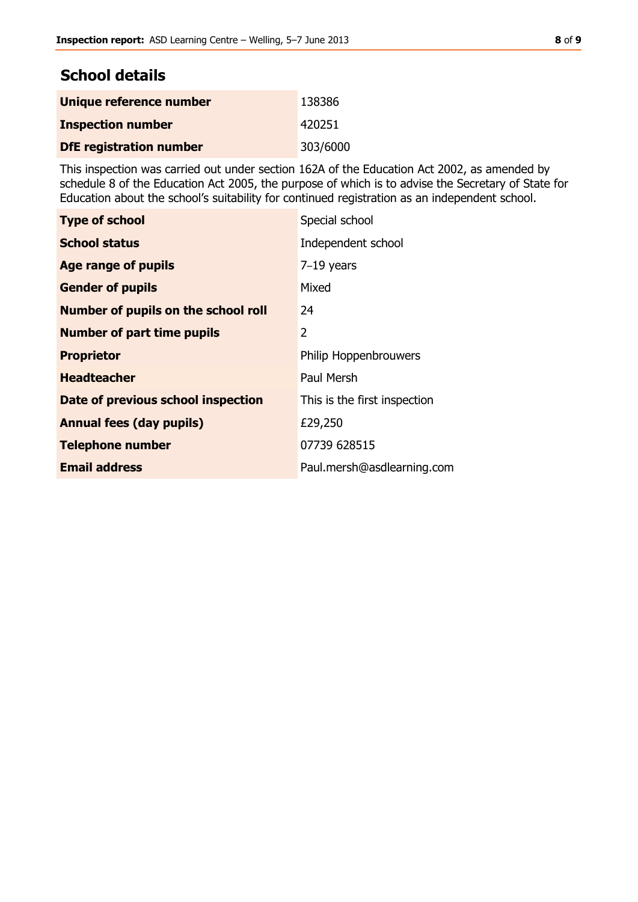# **School details**

| Unique reference number        | 138386   |
|--------------------------------|----------|
| <b>Inspection number</b>       | 420251   |
| <b>DfE</b> registration number | 303/6000 |

This inspection was carried out under section 162A of the Education Act 2002, as amended by schedule 8 of the Education Act 2005, the purpose of which is to advise the Secretary of State for Education about the school's suitability for continued registration as an independent school.

| <b>Type of school</b>                      | Special school               |
|--------------------------------------------|------------------------------|
| <b>School status</b>                       | Independent school           |
| Age range of pupils                        | $7-19$ years                 |
| <b>Gender of pupils</b>                    | Mixed                        |
| <b>Number of pupils on the school roll</b> | 24                           |
| <b>Number of part time pupils</b>          | 2                            |
| <b>Proprietor</b>                          | Philip Hoppenbrouwers        |
| <b>Headteacher</b>                         | Paul Mersh                   |
| Date of previous school inspection         | This is the first inspection |
| <b>Annual fees (day pupils)</b>            | £29,250                      |
| <b>Telephone number</b>                    | 07739 628515                 |
| <b>Email address</b>                       | Paul.mersh@asdlearning.com   |